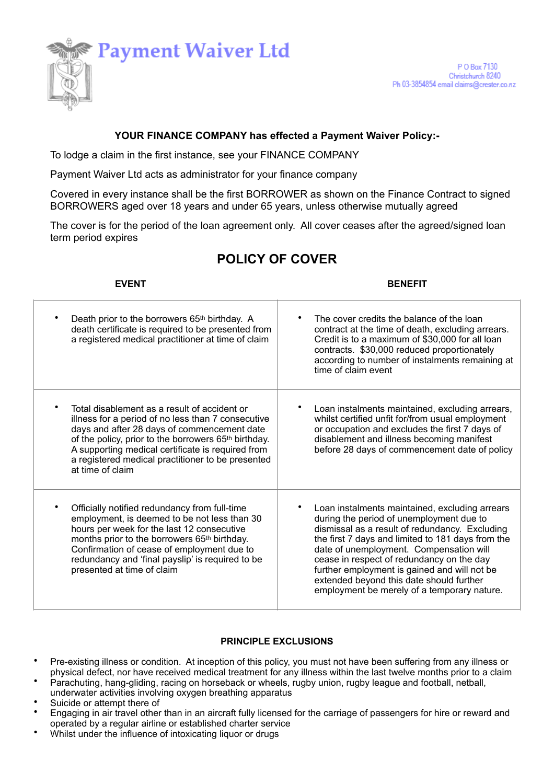

## **YOUR FINANCE COMPANY has effected a Payment Waiver Policy:-**

To lodge a claim in the first instance, see your FINANCE COMPANY

Payment Waiver Ltd acts as administrator for your finance company

Covered in every instance shall be the first BORROWER as shown on the Finance Contract to signed BORROWERS aged over 18 years and under 65 years, unless otherwise mutually agreed

The cover is for the period of the loan agreement only. All cover ceases after the agreed/signed loan term period expires

# **POLICY OF COVER**

**EVENT** BENEFIT

| Death prior to the borrowers 65th birthday. A<br>death certificate is required to be presented from<br>a registered medical practitioner at time of claim                                                                                                                                                                                           | The cover credits the balance of the loan<br>contract at the time of death, excluding arrears.<br>Credit is to a maximum of \$30,000 for all loan<br>contracts. \$30,000 reduced proportionately<br>according to number of instalments remaining at<br>time of claim event                                                                                                                                                           |
|-----------------------------------------------------------------------------------------------------------------------------------------------------------------------------------------------------------------------------------------------------------------------------------------------------------------------------------------------------|--------------------------------------------------------------------------------------------------------------------------------------------------------------------------------------------------------------------------------------------------------------------------------------------------------------------------------------------------------------------------------------------------------------------------------------|
| Total disablement as a result of accident or<br>illness for a period of no less than 7 consecutive<br>days and after 28 days of commencement date<br>of the policy, prior to the borrowers 65 <sup>th</sup> birthday.<br>A supporting medical certificate is required from<br>a registered medical practitioner to be presented<br>at time of claim | Loan instalments maintained, excluding arrears,<br>whilst certified unfit for/from usual employment<br>or occupation and excludes the first 7 days of<br>disablement and illness becoming manifest<br>before 28 days of commencement date of policy                                                                                                                                                                                  |
| Officially notified redundancy from full-time<br>employment, is deemed to be not less than 30<br>hours per week for the last 12 consecutive<br>months prior to the borrowers 65 <sup>th</sup> birthday.<br>Confirmation of cease of employment due to<br>redundancy and 'final payslip' is required to be<br>presented at time of claim             | Loan instalments maintained, excluding arrears<br>during the period of unemployment due to<br>dismissal as a result of redundancy. Excluding<br>the first 7 days and limited to 181 days from the<br>date of unemployment. Compensation will<br>cease in respect of redundancy on the day<br>further employment is gained and will not be<br>extended beyond this date should further<br>employment be merely of a temporary nature. |

## **PRINCIPLE EXCLUSIONS**

- Pre-existing illness or condition. At inception of this policy, you must not have been suffering from any illness or physical defect, nor have received medical treatment for any illness within the last twelve months prior to a claim
- Parachuting, hang-gliding, racing on horseback or wheels, rugby union, rugby league and football, netball,
- underwater activities involving oxygen breathing apparatus Suicide or attempt there of
- Engaging in air travel other than in an aircraft fully licensed for the carriage of passengers for hire or reward and operated by a regular airline or established charter service
- Whilst under the influence of intoxicating liquor or drugs